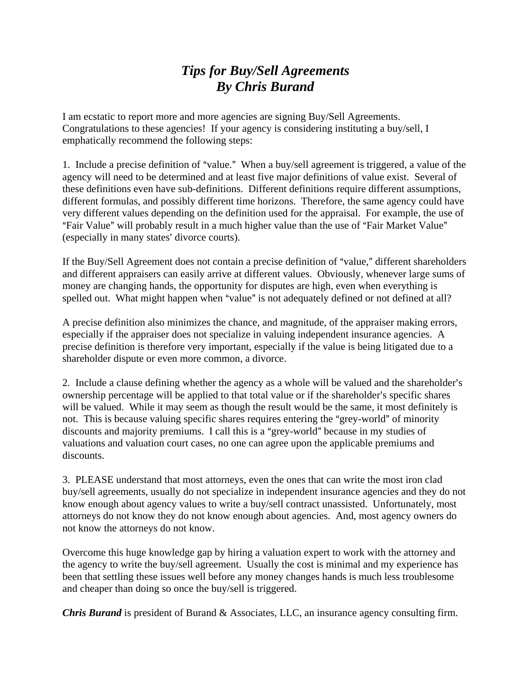## *Tips for Buy/Sell Agreements By Chris Burand*

I am ecstatic to report more and more agencies are signing Buy/Sell Agreements. Congratulations to these agencies! If your agency is considering instituting a buy/sell, I emphatically recommend the following steps:

1. Include a precise definition of "value." When a buy/sell agreement is triggered, a value of the agency will need to be determined and at least five major definitions of value exist. Several of these definitions even have sub-definitions. Different definitions require different assumptions, different formulas, and possibly different time horizons. Therefore, the same agency could have very different values depending on the definition used for the appraisal. For example, the use of "Fair Value" will probably result in a much higher value than the use of "Fair Market Value" (especially in many states' divorce courts).

If the Buy/Sell Agreement does not contain a precise definition of "value," different shareholders and different appraisers can easily arrive at different values. Obviously, whenever large sums of money are changing hands, the opportunity for disputes are high, even when everything is spelled out. What might happen when "value" is not adequately defined or not defined at all?

A precise definition also minimizes the chance, and magnitude, of the appraiser making errors, especially if the appraiser does not specialize in valuing independent insurance agencies. A precise definition is therefore very important, especially if the value is being litigated due to a shareholder dispute or even more common, a divorce.

2. Include a clause defining whether the agency as a whole will be valued and the shareholder's ownership percentage will be applied to that total value or if the shareholder's specific shares will be valued. While it may seem as though the result would be the same, it most definitely is not. This is because valuing specific shares requires entering the "grey-world" of minority discounts and majority premiums. I call this is a "grey-world" because in my studies of valuations and valuation court cases, no one can agree upon the applicable premiums and discounts.

3. PLEASE understand that most attorneys, even the ones that can write the most iron clad buy/sell agreements, usually do not specialize in independent insurance agencies and they do not know enough about agency values to write a buy/sell contract unassisted. Unfortunately, most attorneys do not know they do not know enough about agencies. And, most agency owners do not know the attorneys do not know.

Overcome this huge knowledge gap by hiring a valuation expert to work with the attorney and the agency to write the buy/sell agreement. Usually the cost is minimal and my experience has been that settling these issues well before any money changes hands is much less troublesome and cheaper than doing so once the buy/sell is triggered.

*Chris Burand* is president of Burand & Associates, LLC, an insurance agency consulting firm.